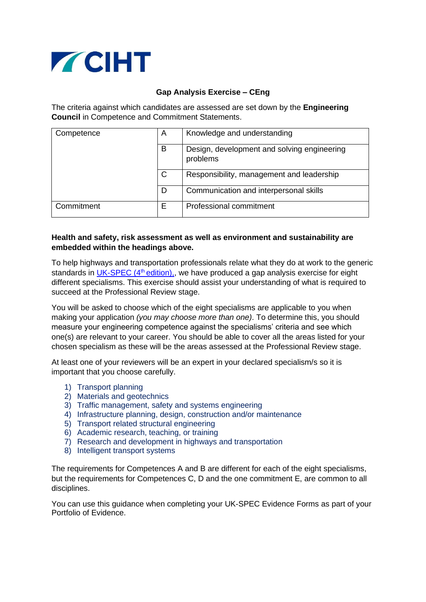

# **Gap Analysis Exercise – CEng**

The criteria against which candidates are assessed are set down by the **Engineering Council** in Competence and Commitment Statements.

| Competence | A | Knowledge and understanding                             |
|------------|---|---------------------------------------------------------|
|            | B | Design, development and solving engineering<br>problems |
|            | C | Responsibility, management and leadership               |
|            | D | Communication and interpersonal skills                  |
| Commitment | Е | Professional commitment                                 |

### **Health and safety, risk assessment as well as environment and sustainability are embedded within the headings above.**

To help highways and transportation professionals relate what they do at work to the generic standards in UK-SPEC  $(4<sup>th</sup>$  edition),, we have produced a gap analysis exercise for eight different specialisms. This exercise should assist your understanding of what is required to succeed at the Professional Review stage.

You will be asked to choose which of the eight specialisms are applicable to you when making your application *(you may choose more than one)*. To determine this, you should measure your engineering competence against the specialisms' criteria and see which one(s) are relevant to your career. You should be able to cover all the areas listed for your chosen specialism as these will be the areas assessed at the Professional Review stage.

At least one of your reviewers will be an expert in your declared specialism/s so it is important that you choose carefully.

- 1) Transport planning
- 2) Materials and geotechnics
- 3) Traffic management, safety and systems engineering
- 4) Infrastructure planning, design, construction and/or maintenance
- 5) Transport related structural engineering
- 6) Academic research, teaching, or training
- 7) Research and development in highways and transportation
- 8) Intelligent transport systems

The requirements for Competences A and B are different for each of the eight specialisms, but the requirements for Competences C, D and the one commitment E, are common to all disciplines.

You can use this guidance when completing your UK-SPEC Evidence Forms as part of your Portfolio of Evidence.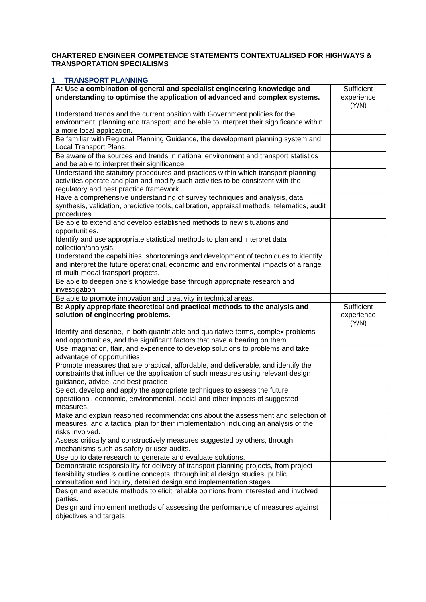#### **CHARTERED ENGINEER COMPETENCE STATEMENTS CONTEXTUALISED FOR HIGHWAYS & TRANSPORTATION SPECIALISMS**

| <b>TRANSPORT PLANNING</b><br>1                                                                                           |                          |
|--------------------------------------------------------------------------------------------------------------------------|--------------------------|
| A: Use a combination of general and specialist engineering knowledge and                                                 | Sufficient               |
| understanding to optimise the application of advanced and complex systems.                                               | experience               |
|                                                                                                                          | (Y/N)                    |
| Understand trends and the current position with Government policies for the                                              |                          |
| environment, planning and transport; and be able to interpret their significance within                                  |                          |
| a more local application.                                                                                                |                          |
| Be familiar with Regional Planning Guidance, the development planning system and                                         |                          |
| Local Transport Plans.                                                                                                   |                          |
| Be aware of the sources and trends in national environment and transport statistics                                      |                          |
| and be able to interpret their significance.                                                                             |                          |
| Understand the statutory procedures and practices within which transport planning                                        |                          |
| activities operate and plan and modify such activities to be consistent with the                                         |                          |
| regulatory and best practice framework.                                                                                  |                          |
| Have a comprehensive understanding of survey techniques and analysis, data                                               |                          |
| synthesis, validation, predictive tools, calibration, appraisal methods, telematics, audit                               |                          |
| procedures.                                                                                                              |                          |
| Be able to extend and develop established methods to new situations and                                                  |                          |
| opportunities.                                                                                                           |                          |
| Identify and use appropriate statistical methods to plan and interpret data                                              |                          |
| collection/analysis.                                                                                                     |                          |
| Understand the capabilities, shortcomings and development of techniques to identify                                      |                          |
| and interpret the future operational, economic and environmental impacts of a range                                      |                          |
| of multi-modal transport projects.                                                                                       |                          |
| Be able to deepen one's knowledge base through appropriate research and                                                  |                          |
| investigation                                                                                                            |                          |
| Be able to promote innovation and creativity in technical areas.                                                         |                          |
|                                                                                                                          |                          |
| B: Apply appropriate theoretical and practical methods to the analysis and<br>solution of engineering problems.          | Sufficient<br>experience |
|                                                                                                                          | (Y/N)                    |
| Identify and describe, in both quantifiable and qualitative terms, complex problems                                      |                          |
| and opportunities, and the significant factors that have a bearing on them.                                              |                          |
| Use imagination, flair, and experience to develop solutions to problems and take<br>advantage of opportunities           |                          |
|                                                                                                                          |                          |
| Promote measures that are practical, affordable, and deliverable, and identify the                                       |                          |
| constraints that influence the application of such measures using relevant design<br>guidance, advice, and best practice |                          |
| Select, develop and apply the appropriate techniques to assess the future                                                |                          |
| operational, economic, environmental, social and other impacts of suggested                                              |                          |
| measures.                                                                                                                |                          |
| Make and explain reasoned recommendations about the assessment and selection of                                          |                          |
| measures, and a tactical plan for their implementation including an analysis of the                                      |                          |
| risks involved.                                                                                                          |                          |
| Assess critically and constructively measures suggested by others, through                                               |                          |
| mechanisms such as safety or user audits.                                                                                |                          |
| Use up to date research to generate and evaluate solutions.                                                              |                          |
| Demonstrate responsibility for delivery of transport planning projects, from project                                     |                          |
| feasibility studies & outline concepts, through initial design studies, public                                           |                          |
| consultation and inquiry, detailed design and implementation stages.                                                     |                          |
| Design and execute methods to elicit reliable opinions from interested and involved                                      |                          |
| parties.                                                                                                                 |                          |
| Design and implement methods of assessing the performance of measures against                                            |                          |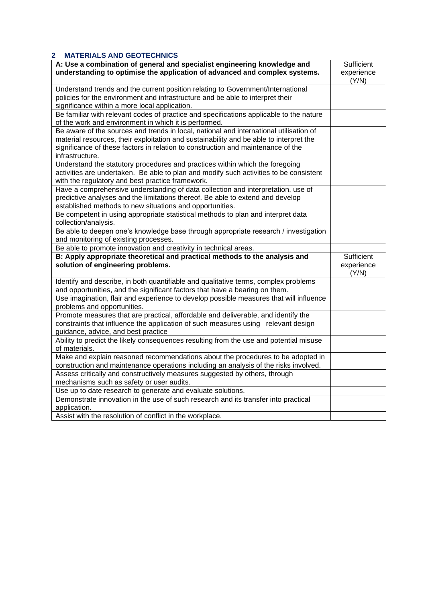### **2 MATERIALS AND GEOTECHNICS**

| A: Use a combination of general and specialist engineering knowledge and                                                                                              | Sufficient |
|-----------------------------------------------------------------------------------------------------------------------------------------------------------------------|------------|
| understanding to optimise the application of advanced and complex systems.                                                                                            | experience |
|                                                                                                                                                                       | (Y/N)      |
| Understand trends and the current position relating to Government/International                                                                                       |            |
| policies for the environment and infrastructure and be able to interpret their                                                                                        |            |
| significance within a more local application.                                                                                                                         |            |
| Be familiar with relevant codes of practice and specifications applicable to the nature                                                                               |            |
| of the work and environment in which it is performed.                                                                                                                 |            |
| Be aware of the sources and trends in local, national and international utilisation of                                                                                |            |
| material resources, their exploitation and sustainability and be able to interpret the                                                                                |            |
| significance of these factors in relation to construction and maintenance of the                                                                                      |            |
| infrastructure.                                                                                                                                                       |            |
| Understand the statutory procedures and practices within which the foregoing                                                                                          |            |
| activities are undertaken. Be able to plan and modify such activities to be consistent                                                                                |            |
| with the regulatory and best practice framework.                                                                                                                      |            |
| Have a comprehensive understanding of data collection and interpretation, use of                                                                                      |            |
| predictive analyses and the limitations thereof. Be able to extend and develop                                                                                        |            |
| established methods to new situations and opportunities.                                                                                                              |            |
| Be competent in using appropriate statistical methods to plan and interpret data                                                                                      |            |
| collection/analysis.                                                                                                                                                  |            |
| Be able to deepen one's knowledge base through appropriate research / investigation                                                                                   |            |
| and monitoring of existing processes.                                                                                                                                 |            |
| Be able to promote innovation and creativity in technical areas.                                                                                                      |            |
| B: Apply appropriate theoretical and practical methods to the analysis and                                                                                            | Sufficient |
| solution of engineering problems.                                                                                                                                     | experience |
|                                                                                                                                                                       | (Y/N)      |
| Identify and describe, in both quantifiable and qualitative terms, complex problems                                                                                   |            |
| and opportunities, and the significant factors that have a bearing on them.<br>Use imagination, flair and experience to develop possible measures that will influence |            |
| problems and opportunities.                                                                                                                                           |            |
| Promote measures that are practical, affordable and deliverable, and identify the                                                                                     |            |
| constraints that influence the application of such measures using relevant design                                                                                     |            |
| guidance, advice, and best practice                                                                                                                                   |            |
| Ability to predict the likely consequences resulting from the use and potential misuse                                                                                |            |
| of materials.                                                                                                                                                         |            |
| Make and explain reasoned recommendations about the procedures to be adopted in                                                                                       |            |
| construction and maintenance operations including an analysis of the risks involved.                                                                                  |            |
| Assess critically and constructively measures suggested by others, through                                                                                            |            |
| mechanisms such as safety or user audits.                                                                                                                             |            |
| Use up to date research to generate and evaluate solutions.                                                                                                           |            |
| Demonstrate innovation in the use of such research and its transfer into practical                                                                                    |            |
| application.                                                                                                                                                          |            |
| Assist with the resolution of conflict in the workplace.                                                                                                              |            |
|                                                                                                                                                                       |            |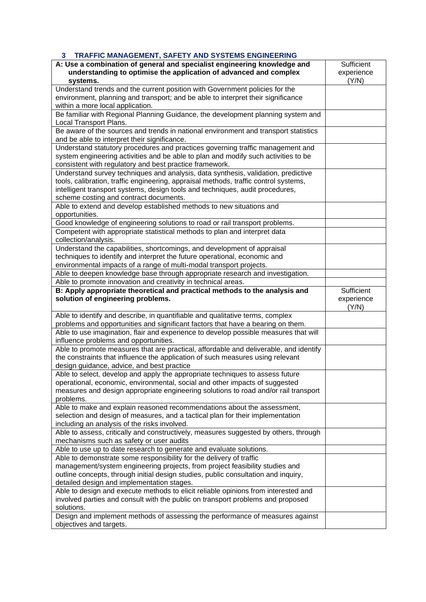# **3 TRAFFIC MANAGEMENT, SAFETY AND SYSTEMS ENGINEERING**

| <b>TIME THE MANAGEMENT, ONE ETT AND OTOTEMO ENGINEERING</b><br>A: Use a combination of general and specialist engineering knowledge and                         | Sufficient          |
|-----------------------------------------------------------------------------------------------------------------------------------------------------------------|---------------------|
| understanding to optimise the application of advanced and complex<br>systems.                                                                                   | experience<br>(Y/N) |
| Understand trends and the current position with Government policies for the<br>environment, planning and transport; and be able to interpret their significance |                     |
| within a more local application.                                                                                                                                |                     |
| Be familiar with Regional Planning Guidance, the development planning system and                                                                                |                     |
| Local Transport Plans.                                                                                                                                          |                     |
| Be aware of the sources and trends in national environment and transport statistics<br>and be able to interpret their significance.                             |                     |
| Understand statutory procedures and practices governing traffic management and                                                                                  |                     |
| system engineering activities and be able to plan and modify such activities to be<br>consistent with regulatory and best practice framework.                   |                     |
| Understand survey techniques and analysis, data synthesis, validation, predictive                                                                               |                     |
| tools, calibration, traffic engineering, appraisal methods, traffic control systems,                                                                            |                     |
| intelligent transport systems, design tools and techniques, audit procedures,<br>scheme costing and contract documents.                                         |                     |
| Able to extend and develop established methods to new situations and                                                                                            |                     |
| opportunities.                                                                                                                                                  |                     |
| Good knowledge of engineering solutions to road or rail transport problems.                                                                                     |                     |
| Competent with appropriate statistical methods to plan and interpret data                                                                                       |                     |
| collection/analysis.                                                                                                                                            |                     |
| Understand the capabilities, shortcomings, and development of appraisal                                                                                         |                     |
| techniques to identify and interpret the future operational, economic and                                                                                       |                     |
| environmental impacts of a range of multi-modal transport projects.                                                                                             |                     |
| Able to deepen knowledge base through appropriate research and investigation.<br>Able to promote innovation and creativity in technical areas.                  |                     |
| B: Apply appropriate theoretical and practical methods to the analysis and                                                                                      | Sufficient          |
| solution of engineering problems.                                                                                                                               | experience<br>(Y/N) |
| Able to identify and describe, in quantifiable and qualitative terms, complex                                                                                   |                     |
| problems and opportunities and significant factors that have a bearing on them.                                                                                 |                     |
| Able to use imagination, flair and experience to develop possible measures that will                                                                            |                     |
| influence problems and opportunities.                                                                                                                           |                     |
| Able to promote measures that are practical, affordable and deliverable, and identify                                                                           |                     |
| the constraints that influence the application of such measures using relevant                                                                                  |                     |
| design guidance, advice, and best practice                                                                                                                      |                     |
| Able to select, develop and apply the appropriate techniques to assess future<br>operational, economic, environmental, social and other impacts of suggested    |                     |
| measures and design appropriate engineering solutions to road and/or rail transport                                                                             |                     |
| problems.                                                                                                                                                       |                     |
| Able to make and explain reasoned recommendations about the assessment,                                                                                         |                     |
| selection and design of measures, and a tactical plan for their implementation                                                                                  |                     |
| including an analysis of the risks involved.                                                                                                                    |                     |
| Able to assess, critically and constructively, measures suggested by others, through                                                                            |                     |
| mechanisms such as safety or user audits                                                                                                                        |                     |
| Able to use up to date research to generate and evaluate solutions.                                                                                             |                     |
| Able to demonstrate some responsibility for the delivery of traffic                                                                                             |                     |
| management/system engineering projects, from project feasibility studies and                                                                                    |                     |
| outline concepts, through initial design studies, public consultation and inquiry,<br>detailed design and implementation stages.                                |                     |
| Able to design and execute methods to elicit reliable opinions from interested and                                                                              |                     |
| involved parties and consult with the public on transport problems and proposed                                                                                 |                     |
| solutions.                                                                                                                                                      |                     |
| Design and implement methods of assessing the performance of measures against                                                                                   |                     |
| objectives and targets.                                                                                                                                         |                     |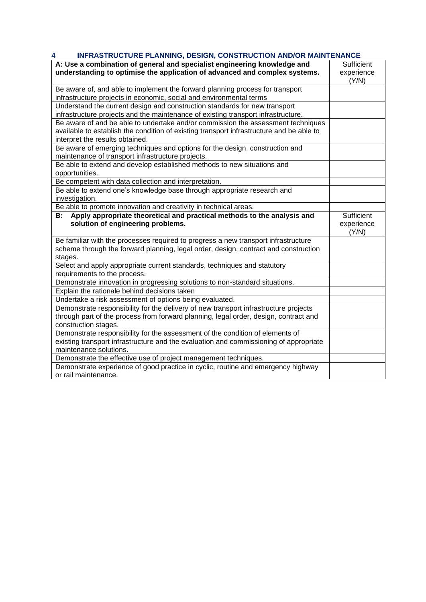#### **4 INFRASTRUCTURE PLANNING, DESIGN, CONSTRUCTION AND/OR MAINTENANCE**

| A: Use a combination of general and specialist engineering knowledge and<br>understanding to optimise the application of advanced and complex systems. | Sufficient<br>experience          |
|--------------------------------------------------------------------------------------------------------------------------------------------------------|-----------------------------------|
|                                                                                                                                                        | (Y/N)                             |
| Be aware of, and able to implement the forward planning process for transport                                                                          |                                   |
| infrastructure projects in economic, social and environmental terms                                                                                    |                                   |
| Understand the current design and construction standards for new transport                                                                             |                                   |
| infrastructure projects and the maintenance of existing transport infrastructure.                                                                      |                                   |
| Be aware of and be able to undertake and/or commission the assessment techniques                                                                       |                                   |
| available to establish the condition of existing transport infrastructure and be able to                                                               |                                   |
| interpret the results obtained.                                                                                                                        |                                   |
| Be aware of emerging techniques and options for the design, construction and                                                                           |                                   |
| maintenance of transport infrastructure projects.                                                                                                      |                                   |
| Be able to extend and develop established methods to new situations and                                                                                |                                   |
| opportunities.                                                                                                                                         |                                   |
| Be competent with data collection and interpretation.                                                                                                  |                                   |
| Be able to extend one's knowledge base through appropriate research and                                                                                |                                   |
| investigation.                                                                                                                                         |                                   |
| Be able to promote innovation and creativity in technical areas.                                                                                       |                                   |
| Apply appropriate theoretical and practical methods to the analysis and<br>В:<br>solution of engineering problems.                                     | Sufficient<br>experience<br>(Y/N) |
| Be familiar with the processes required to progress a new transport infrastructure                                                                     |                                   |
| scheme through the forward planning, legal order, design, contract and construction                                                                    |                                   |
| stages.                                                                                                                                                |                                   |
| Select and apply appropriate current standards, techniques and statutory                                                                               |                                   |
| requirements to the process.                                                                                                                           |                                   |
| Demonstrate innovation in progressing solutions to non-standard situations.                                                                            |                                   |
| Explain the rationale behind decisions taken                                                                                                           |                                   |
| Undertake a risk assessment of options being evaluated.                                                                                                |                                   |
| Demonstrate responsibility for the delivery of new transport infrastructure projects                                                                   |                                   |
| through part of the process from forward planning, legal order, design, contract and                                                                   |                                   |
| construction stages.                                                                                                                                   |                                   |
| Demonstrate responsibility for the assessment of the condition of elements of                                                                          |                                   |
| existing transport infrastructure and the evaluation and commissioning of appropriate                                                                  |                                   |
| maintenance solutions.                                                                                                                                 |                                   |
| Demonstrate the effective use of project management techniques.                                                                                        |                                   |
| Demonstrate experience of good practice in cyclic, routine and emergency highway<br>or rail maintenance.                                               |                                   |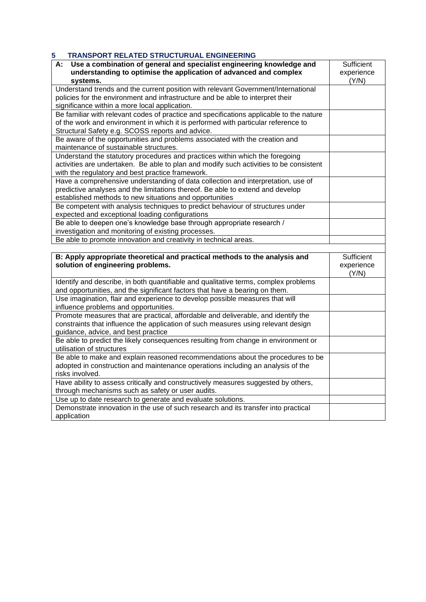## **5 TRANSPORT RELATED STRUCTURUAL ENGINEERING**

| Use a combination of general and specialist engineering knowledge and<br>А:                       | Sufficient |
|---------------------------------------------------------------------------------------------------|------------|
| understanding to optimise the application of advanced and complex                                 | experience |
| systems.                                                                                          | (Y/N)      |
| Understand trends and the current position with relevant Government/International                 |            |
| policies for the environment and infrastructure and be able to interpret their                    |            |
| significance within a more local application.                                                     |            |
| Be familiar with relevant codes of practice and specifications applicable to the nature           |            |
| of the work and environment in which it is performed with particular reference to                 |            |
| Structural Safety e.g. SCOSS reports and advice.                                                  |            |
| Be aware of the opportunities and problems associated with the creation and                       |            |
| maintenance of sustainable structures.                                                            |            |
| Understand the statutory procedures and practices within which the foregoing                      |            |
| activities are undertaken. Be able to plan and modify such activities to be consistent            |            |
| with the regulatory and best practice framework.                                                  |            |
| Have a comprehensive understanding of data collection and interpretation, use of                  |            |
| predictive analyses and the limitations thereof. Be able to extend and develop                    |            |
| established methods to new situations and opportunities                                           |            |
| Be competent with analysis techniques to predict behaviour of structures under                    |            |
| expected and exceptional loading configurations                                                   |            |
| Be able to deepen one's knowledge base through appropriate research /                             |            |
| investigation and monitoring of existing processes.                                               |            |
| Be able to promote innovation and creativity in technical areas.                                  |            |
|                                                                                                   |            |
|                                                                                                   |            |
| B: Apply appropriate theoretical and practical methods to the analysis and                        | Sufficient |
| solution of engineering problems.                                                                 | experience |
|                                                                                                   | (Y/N)      |
| Identify and describe, in both quantifiable and qualitative terms, complex problems               |            |
| and opportunities, and the significant factors that have a bearing on them.                       |            |
| Use imagination, flair and experience to develop possible measures that will                      |            |
| influence problems and opportunities.                                                             |            |
| Promote measures that are practical, affordable and deliverable, and identify the                 |            |
| constraints that influence the application of such measures using relevant design                 |            |
| guidance, advice, and best practice                                                               |            |
| Be able to predict the likely consequences resulting from change in environment or                |            |
| utilisation of structures                                                                         |            |
| Be able to make and explain reasoned recommendations about the procedures to be                   |            |
| adopted in construction and maintenance operations including an analysis of the                   |            |
| risks involved.                                                                                   |            |
| Have ability to assess critically and constructively measures suggested by others,                |            |
| through mechanisms such as safety or user audits.                                                 |            |
| Use up to date research to generate and evaluate solutions.                                       |            |
| Demonstrate innovation in the use of such research and its transfer into practical<br>application |            |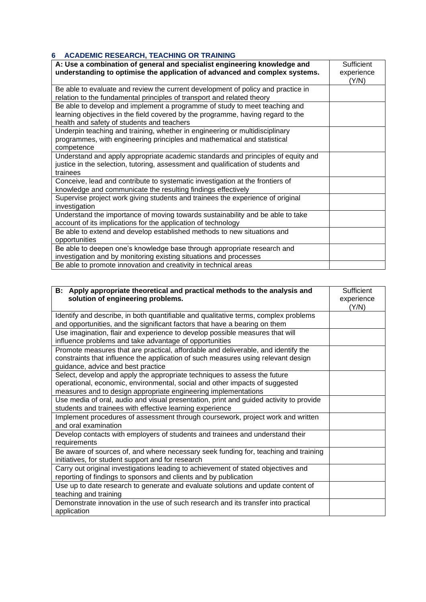# **6 ACADEMIC RESEARCH, TEACHING OR TRAINING**

| A: Use a combination of general and specialist engineering knowledge and<br>understanding to optimise the application of advanced and complex systems.               | Sufficient<br>experience |
|----------------------------------------------------------------------------------------------------------------------------------------------------------------------|--------------------------|
|                                                                                                                                                                      | (Y/N)                    |
| Be able to evaluate and review the current development of policy and practice in                                                                                     |                          |
| relation to the fundamental principles of transport and related theory                                                                                               |                          |
| Be able to develop and implement a programme of study to meet teaching and                                                                                           |                          |
| learning objectives in the field covered by the programme, having regard to the<br>health and safety of students and teachers                                        |                          |
| Underpin teaching and training, whether in engineering or multidisciplinary                                                                                          |                          |
| programmes, with engineering principles and mathematical and statistical                                                                                             |                          |
| competence                                                                                                                                                           |                          |
| Understand and apply appropriate academic standards and principles of equity and<br>justice in the selection, tutoring, assessment and qualification of students and |                          |
| trainees                                                                                                                                                             |                          |
| Conceive, lead and contribute to systematic investigation at the frontiers of<br>knowledge and communicate the resulting findings effectively                        |                          |
| Supervise project work giving students and trainees the experience of original<br>investigation                                                                      |                          |
| Understand the importance of moving towards sustainability and be able to take                                                                                       |                          |
| account of its implications for the application of technology                                                                                                        |                          |
| Be able to extend and develop established methods to new situations and                                                                                              |                          |
| opportunities                                                                                                                                                        |                          |
| Be able to deepen one's knowledge base through appropriate research and                                                                                              |                          |
| investigation and by monitoring existing situations and processes                                                                                                    |                          |
| Be able to promote innovation and creativity in technical areas                                                                                                      |                          |

| B: Apply appropriate theoretical and practical methods to the analysis and<br>solution of engineering problems.                                                                                                            | Sufficient<br>experience<br>(Y/N) |
|----------------------------------------------------------------------------------------------------------------------------------------------------------------------------------------------------------------------------|-----------------------------------|
| Identify and describe, in both quantifiable and qualitative terms, complex problems<br>and opportunities, and the significant factors that have a bearing on them                                                          |                                   |
| Use imagination, flair and experience to develop possible measures that will<br>influence problems and take advantage of opportunities                                                                                     |                                   |
| Promote measures that are practical, affordable and deliverable, and identify the<br>constraints that influence the application of such measures using relevant design<br>guidance, advice and best practice               |                                   |
| Select, develop and apply the appropriate techniques to assess the future<br>operational, economic, environmental, social and other impacts of suggested<br>measures and to design appropriate engineering implementations |                                   |
| Use media of oral, audio and visual presentation, print and guided activity to provide<br>students and trainees with effective learning experience                                                                         |                                   |
| Implement procedures of assessment through coursework, project work and written<br>and oral examination                                                                                                                    |                                   |
| Develop contacts with employers of students and trainees and understand their<br>requirements                                                                                                                              |                                   |
| Be aware of sources of, and where necessary seek funding for, teaching and training<br>initiatives, for student support and for research                                                                                   |                                   |
| Carry out original investigations leading to achievement of stated objectives and<br>reporting of findings to sponsors and clients and by publication                                                                      |                                   |
| Use up to date research to generate and evaluate solutions and update content of<br>teaching and training                                                                                                                  |                                   |
| Demonstrate innovation in the use of such research and its transfer into practical<br>application                                                                                                                          |                                   |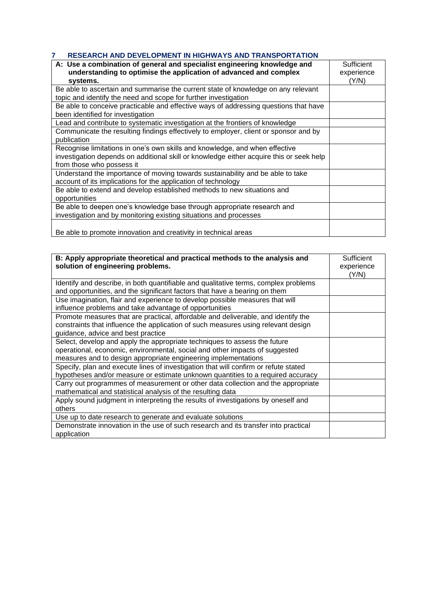### **7 RESEARCH AND DEVELOPMENT IN HIGHWAYS AND TRANSPORTATION**

| A: Use a combination of general and specialist engineering knowledge and                | Sufficient |
|-----------------------------------------------------------------------------------------|------------|
| understanding to optimise the application of advanced and complex                       | experience |
| systems.                                                                                | (Y/N)      |
| Be able to ascertain and summarise the current state of knowledge on any relevant       |            |
| topic and identify the need and scope for further investigation                         |            |
| Be able to conceive practicable and effective ways of addressing questions that have    |            |
| been identified for investigation                                                       |            |
| Lead and contribute to systematic investigation at the frontiers of knowledge           |            |
| Communicate the resulting findings effectively to employer, client or sponsor and by    |            |
| publication                                                                             |            |
| Recognise limitations in one's own skills and knowledge, and when effective             |            |
| investigation depends on additional skill or knowledge either acquire this or seek help |            |
| from those who possess it                                                               |            |
| Understand the importance of moving towards sustainability and be able to take          |            |
| account of its implications for the application of technology                           |            |
| Be able to extend and develop established methods to new situations and                 |            |
| opportunities                                                                           |            |
| Be able to deepen one's knowledge base through appropriate research and                 |            |
| investigation and by monitoring existing situations and processes                       |            |
|                                                                                         |            |
| Be able to promote innovation and creativity in technical areas                         |            |

| B: Apply appropriate theoretical and practical methods to the analysis and<br>solution of engineering problems.                                                                                                            | Sufficient<br>experience<br>(Y/N) |
|----------------------------------------------------------------------------------------------------------------------------------------------------------------------------------------------------------------------------|-----------------------------------|
| Identify and describe, in both quantifiable and qualitative terms, complex problems<br>and opportunities, and the significant factors that have a bearing on them                                                          |                                   |
| Use imagination, flair and experience to develop possible measures that will<br>influence problems and take advantage of opportunities                                                                                     |                                   |
| Promote measures that are practical, affordable and deliverable, and identify the<br>constraints that influence the application of such measures using relevant design<br>guidance, advice and best practice               |                                   |
| Select, develop and apply the appropriate techniques to assess the future<br>operational, economic, environmental, social and other impacts of suggested<br>measures and to design appropriate engineering implementations |                                   |
| Specify, plan and execute lines of investigation that will confirm or refute stated<br>hypotheses and/or measure or estimate unknown quantities to a required accuracy                                                     |                                   |
| Carry out programmes of measurement or other data collection and the appropriate<br>mathematical and statistical analysis of the resulting data                                                                            |                                   |
| Apply sound judgment in interpreting the results of investigations by oneself and<br>others                                                                                                                                |                                   |
| Use up to date research to generate and evaluate solutions<br>Demonstrate innovation in the use of such research and its transfer into practical<br>application                                                            |                                   |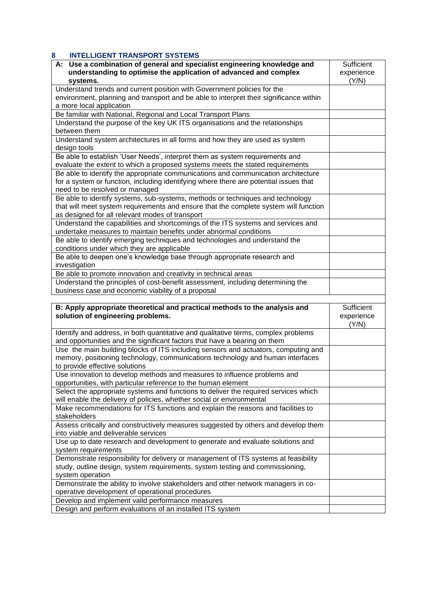## **8 INTELLIGENT TRANSPORT SYSTEMS**

| A: Use a combination of general and specialist engineering knowledge and                                                   | Sufficient |
|----------------------------------------------------------------------------------------------------------------------------|------------|
| understanding to optimise the application of advanced and complex                                                          | experience |
| systems.                                                                                                                   | (Y/N)      |
| Understand trends and current position with Government policies for the                                                    |            |
| environment, planning and transport and be able to interpret their significance within                                     |            |
| a more local application                                                                                                   |            |
| Be familiar with National, Regional and Local Transport Plans                                                              |            |
| Understand the purpose of the key UK ITS organisations and the relationships                                               |            |
| between them                                                                                                               |            |
| Understand system architectures in all forms and how they are used as system<br>design tools                               |            |
| Be able to establish 'User Needs', interpret them as system requirements and                                               |            |
| evaluate the extent to which a proposed systems meets the stated requirements                                              |            |
| Be able to identify the appropriate communications and communication architecture                                          |            |
| for a system or function, including identifying where there are potential issues that                                      |            |
| need to be resolved or managed                                                                                             |            |
| Be able to identify systems, sub-systems, methods or techniques and technology                                             |            |
| that will meet system requirements and ensure that the complete system will function                                       |            |
| as designed for all relevant modes of transport                                                                            |            |
| Understand the capabilities and shortcomings of the ITS systems and services and                                           |            |
| undertake measures to maintain benefits under abnormal conditions                                                          |            |
| Be able to identify emerging techniques and technologies and understand the                                                |            |
| conditions under which they are applicable                                                                                 |            |
| Be able to deepen one's knowledge base through appropriate research and                                                    |            |
| investigation                                                                                                              |            |
| Be able to promote innovation and creativity in technical areas                                                            |            |
| Understand the principles of cost-benefit assessment, including determining the                                            |            |
|                                                                                                                            |            |
| business case and economic viability of a proposal                                                                         |            |
|                                                                                                                            |            |
| B: Apply appropriate theoretical and practical methods to the analysis and                                                 | Sufficient |
| solution of engineering problems.                                                                                          | experience |
|                                                                                                                            | (Y/N)      |
| Identify and address, in both quantitative and qualitative terms, complex problems                                         |            |
| and opportunities and the significant factors that have a bearing on them                                                  |            |
| Use the main building blocks of ITS including sensors and actuators, computing and                                         |            |
| memory, positioning technology, communications technology and human interfaces                                             |            |
| to provide effective solutions                                                                                             |            |
| Use innovation to develop methods and measures to influence problems and                                                   |            |
| opportunities, with particular reference to the human element                                                              |            |
| Select the appropriate systems and functions to deliver the required services which                                        |            |
| will enable the delivery of policies, whether social or environmental                                                      |            |
| Make recommendations for ITS functions and explain the reasons and facilities to                                           |            |
| stakeholders                                                                                                               |            |
| Assess critically and constructively measures suggested by others and develop them<br>into viable and deliverable services |            |
| Use up to date research and development to generate and evaluate solutions and                                             |            |
| system requirements                                                                                                        |            |
| Demonstrate responsibility for delivery or management of ITS systems at feasibility                                        |            |
| study, outline design, system requirements, system testing and commissioning,                                              |            |
| system operation                                                                                                           |            |
| Demonstrate the ability to involve stakeholders and other network managers in co-                                          |            |
| operative development of operational procedures                                                                            |            |
| Develop and implement valid performance measures<br>Design and perform evaluations of an installed ITS system              |            |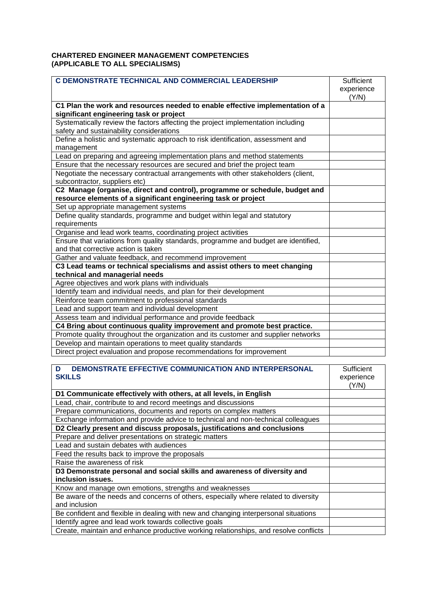#### **CHARTERED ENGINEER MANAGEMENT COMPETENCIES (APPLICABLE TO ALL SPECIALISMS)**

| <b>C DEMONSTRATE TECHNICAL AND COMMERCIAL LEADERSHIP</b>                            | Sufficient |
|-------------------------------------------------------------------------------------|------------|
|                                                                                     | experience |
|                                                                                     | (Y/N)      |
| C1 Plan the work and resources needed to enable effective implementation of a       |            |
| significant engineering task or project                                             |            |
| Systematically review the factors affecting the project implementation including    |            |
| safety and sustainability considerations                                            |            |
| Define a holistic and systematic approach to risk identification, assessment and    |            |
| management                                                                          |            |
| Lead on preparing and agreeing implementation plans and method statements           |            |
| Ensure that the necessary resources are secured and brief the project team          |            |
| Negotiate the necessary contractual arrangements with other stakeholders (client,   |            |
| subcontractor, suppliers etc)                                                       |            |
| C2 Manage (organise, direct and control), programme or schedule, budget and         |            |
| resource elements of a significant engineering task or project                      |            |
| Set up appropriate management systems                                               |            |
| Define quality standards, programme and budget within legal and statutory           |            |
| requirements                                                                        |            |
| Organise and lead work teams, coordinating project activities                       |            |
| Ensure that variations from quality standards, programme and budget are identified, |            |
| and that corrective action is taken                                                 |            |
| Gather and valuate feedback, and recommend improvement                              |            |
| C3 Lead teams or technical specialisms and assist others to meet changing           |            |
| technical and managerial needs                                                      |            |
| Agree objectives and work plans with individuals                                    |            |
| Identify team and individual needs, and plan for their development                  |            |
| Reinforce team commitment to professional standards                                 |            |
| Lead and support team and individual development                                    |            |
| Assess team and individual performance and provide feedback                         |            |
| C4 Bring about continuous quality improvement and promote best practice.            |            |
| Promote quality throughout the organization and its customer and supplier networks  |            |
| Develop and maintain operations to meet quality standards                           |            |
| Direct project evaluation and propose recommendations for improvement               |            |

| DEMONSTRATE EFFECTIVE COMMUNICATION AND INTERPERSONAL<br>D<br><b>SKILLS</b>          | Sufficient<br>experience<br>(Y/N) |
|--------------------------------------------------------------------------------------|-----------------------------------|
| D1 Communicate effectively with others, at all levels, in English                    |                                   |
| Lead, chair, contribute to and record meetings and discussions                       |                                   |
| Prepare communications, documents and reports on complex matters                     |                                   |
| Exchange information and provide advice to technical and non-technical colleagues    |                                   |
| D2 Clearly present and discuss proposals, justifications and conclusions             |                                   |
| Prepare and deliver presentations on strategic matters                               |                                   |
| Lead and sustain debates with audiences                                              |                                   |
| Feed the results back to improve the proposals                                       |                                   |
| Raise the awareness of risk                                                          |                                   |
| D3 Demonstrate personal and social skills and awareness of diversity and             |                                   |
| inclusion issues.                                                                    |                                   |
| Know and manage own emotions, strengths and weaknesses                               |                                   |
| Be aware of the needs and concerns of others, especially where related to diversity  |                                   |
| and inclusion                                                                        |                                   |
| Be confident and flexible in dealing with new and changing interpersonal situations  |                                   |
| Identify agree and lead work towards collective goals                                |                                   |
| Create, maintain and enhance productive working relationships, and resolve conflicts |                                   |